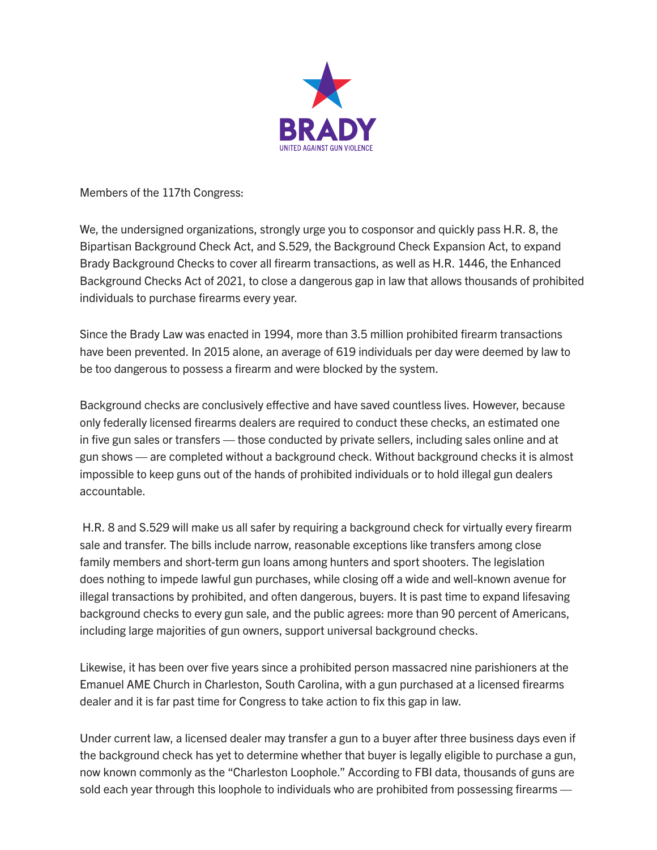

Members of the 117th Congress:

We, the undersigned organizations, strongly urge you to cosponsor and quickly pass H.R. 8, the Bipartisan Background Check Act, and S.529, the Background Check Expansion Act, to expand Brady Background Checks to cover all firearm transactions, as well as H.R. 1446, the Enhanced Background Checks Act of 2021, to close a dangerous gap in law that allows thousands of prohibited individuals to purchase firearms every year.

Since the Brady Law was enacted in 1994, more than 3.5 million prohibited firearm transactions have been prevented. In 2015 alone, an average of 619 individuals per day were deemed by law to be too dangerous to possess a firearm and were blocked by the system.

Background checks are conclusively effective and have saved countless lives. However, because only federally licensed firearms dealers are required to conduct these checks, an estimated one in five gun sales or transfers — those conducted by private sellers, including sales online and at gun shows — are completed without a background check. Without background checks it is almost impossible to keep guns out of the hands of prohibited individuals or to hold illegal gun dealers accountable.

 H.R. 8 and S.529 will make us all safer by requiring a background check for virtually every firearm sale and transfer. The bills include narrow, reasonable exceptions like transfers among close family members and short-term gun loans among hunters and sport shooters. The legislation does nothing to impede lawful gun purchases, while closing off a wide and well-known avenue for illegal transactions by prohibited, and often dangerous, buyers. It is past time to expand lifesaving background checks to every gun sale, and the public agrees: more than 90 percent of Americans, including large majorities of gun owners, support universal background checks.

Likewise, it has been over five years since a prohibited person massacred nine parishioners at the Emanuel AME Church in Charleston, South Carolina, with a gun purchased at a licensed firearms dealer and it is far past time for Congress to take action to fix this gap in law.

Under current law, a licensed dealer may transfer a gun to a buyer after three business days even if the background check has yet to determine whether that buyer is legally eligible to purchase a gun, now known commonly as the "Charleston Loophole." According to FBI data, thousands of guns are sold each year through this loophole to individuals who are prohibited from possessing firearms —